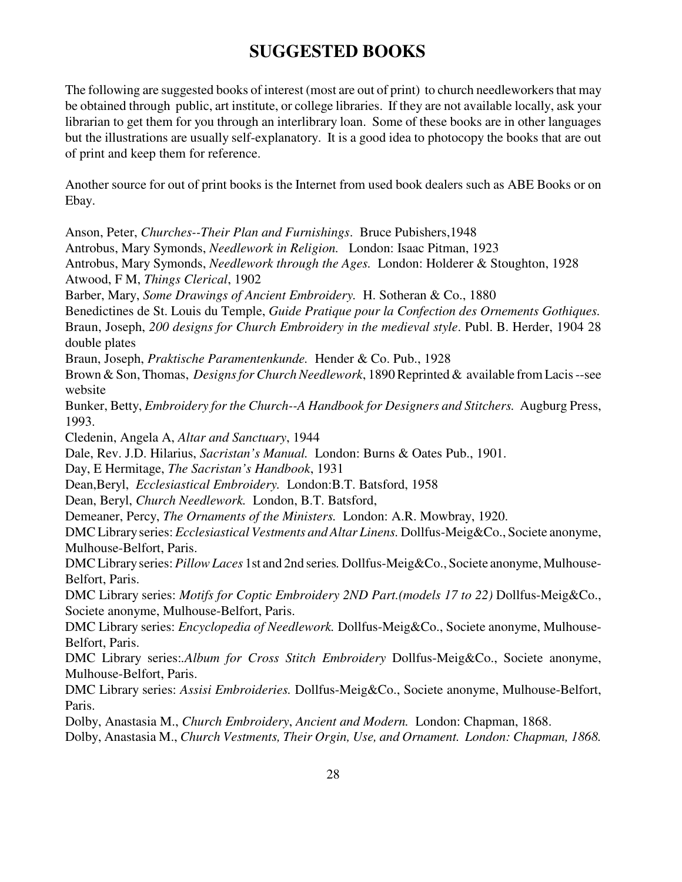## **SUGGESTED BOOKS**

The following are suggested books of interest (most are out of print) to church needleworkers that may be obtained through public, art institute, or college libraries. If they are not available locally, ask your librarian to get them for you through an interlibrary loan. Some of these books are in other languages but the illustrations are usually self-explanatory. It is a good idea to photocopy the books that are out of print and keep them for reference.

Another source for out of print books is the Internet from used book dealers such as ABE Books or on Ebay.

Anson, Peter, *Churches--Their Plan and Furnishings*. Bruce Pubishers,1948 Antrobus, Mary Symonds, *Needlework in Religion.* London: Isaac Pitman, 1923 Antrobus, Mary Symonds, *Needlework through the Ages.* London: Holderer & Stoughton, 1928 Atwood, F M, *Things Clerical*, 1902 Barber, Mary, *Some Drawings of Ancient Embroidery.* H. Sotheran & Co., 1880 Benedictines de St. Louis du Temple, *Guide Pratique pour la Confection des Ornements Gothiques.* Braun, Joseph, *200 designs for Church Embroidery in the medieval style*. Publ. B. Herder, 1904 28 double plates Braun, Joseph, *Praktische Paramentenkunde.* Hender & Co. Pub., 1928 Brown & Son, Thomas, *Designs for Church Needlework*, 1890Reprinted & available from Lacis --see website Bunker, Betty, *Embroidery for the Church--A Handbook for Designers and Stitchers.* Augburg Press, 1993. Cledenin, Angela A, *Altar and Sanctuary*, 1944 Dale, Rev. J.D. Hilarius, *Sacristan's Manual.* London: Burns & Oates Pub., 1901. Day, E Hermitage, *The Sacristan's Handbook*, 1931 Dean,Beryl, *Ecclesiastical Embroidery.* London:B.T. Batsford, 1958 Dean, Beryl, *Church Needlework.* London, B.T. Batsford, Demeaner, Percy, *The Ornaments of the Ministers.* London: A.R. Mowbray, 1920. DMCLibraryseries: *Ecclesiastical Vestments and Altar Linens.* Dollfus-Meig&Co., Societe anonyme, Mulhouse-Belfort, Paris. DMCLibraryseries:*PillowLaces* 1st and 2nd series*.* Dollfus-Meig&Co., Societe anonyme, Mulhouse-Belfort, Paris. DMC Library series: *Motifs for Coptic Embroidery 2ND Part.(models 17 to 22)* Dollfus-Meig&Co., Societe anonyme, Mulhouse-Belfort, Paris. DMC Library series: *Encyclopedia of Needlework.* Dollfus-Meig&Co., Societe anonyme, Mulhouse-Belfort, Paris. DMC Library series:*.Album for Cross Stitch Embroidery* Dollfus-Meig&Co., Societe anonyme, Mulhouse-Belfort, Paris. DMC Library series: *Assisi Embroideries.* Dollfus-Meig&Co., Societe anonyme, Mulhouse-Belfort, Paris. Dolby, Anastasia M., *Church Embroidery*, *Ancient and Modern.* London: Chapman, 1868.

Dolby, Anastasia M., *Church Vestments, Their Orgin, Use, and Ornament. London: Chapman, 1868.*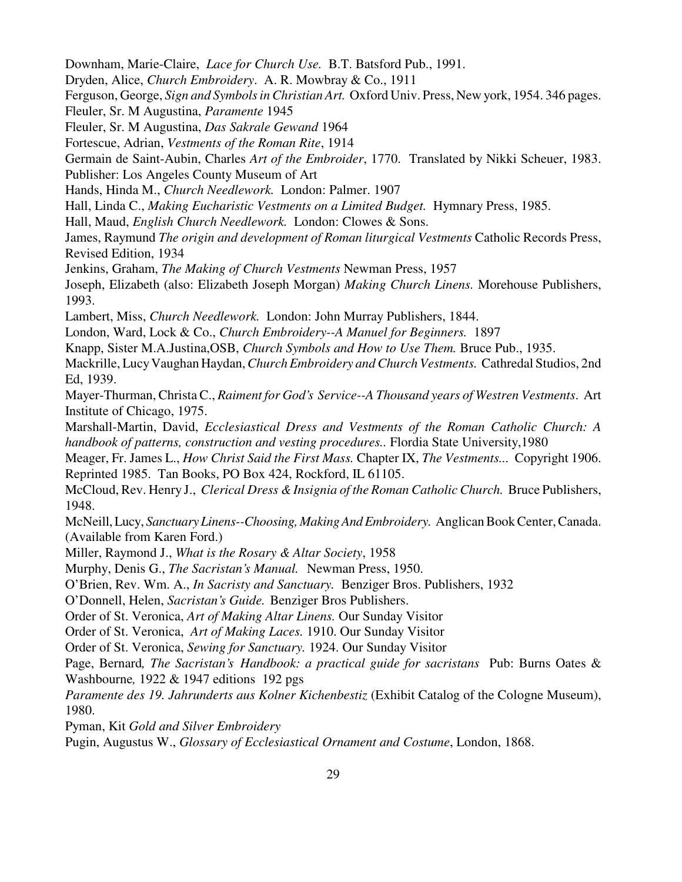Downham, Marie-Claire, *Lace for Church Use.* B.T. Batsford Pub., 1991.

Dryden, Alice, *Church Embroidery*. A. R. Mowbray & Co., 1911

Ferguson, George, *Sign and SymbolsinChristian Art.* Oxford Univ. Press, New york, 1954. 346 pages.

Fleuler, Sr. M Augustina, *Paramente* 1945

Fleuler, Sr. M Augustina, *Das Sakrale Gewand* 1964

Fortescue, Adrian, *Vestments of the Roman Rite*, 1914

Germain de Saint-Aubin, Charles *Art of the Embroider*, 1770. Translated by Nikki Scheuer, 1983.

Publisher: Los Angeles County Museum of Art

Hands, Hinda M., *Church Needlework.* London: Palmer. 1907

Hall, Linda C., *Making Eucharistic Vestments on a Limited Budget.* Hymnary Press, 1985.

Hall, Maud, *English Church Needlework.* London: Clowes & Sons.

James, Raymund *The origin and development of Roman liturgical Vestments* Catholic Records Press, Revised Edition, 1934

Jenkins, Graham, *The Making of Church Vestments* Newman Press, 1957

Joseph, Elizabeth (also: Elizabeth Joseph Morgan) *Making Church Linens.* Morehouse Publishers, 1993.

Lambert, Miss, *Church Needlework.* London: John Murray Publishers, 1844.

London, Ward, Lock & Co., *Church Embroidery--A Manuel for Beginners.* 1897

Knapp, Sister M.A.Justina,OSB, *Church Symbols and How to Use Them.* Bruce Pub., 1935.

Mackrille, LucyVaughan Haydan,*ChurchEmbroidery andChurch Vestments.* Cathredal Studios, 2nd Ed, 1939.

Mayer-Thurman, Christa C., *Raiment for God's Service--A Thousand years of Westren Vestments*. Art Institute of Chicago, 1975.

Marshall-Martin, David, *Ecclesiastical Dress and Vestments of the Roman Catholic Church: A handbook of patterns, construction and vesting procedures..* Flordia State University,1980

Meager, Fr. James L., *How Christ Said the First Mass.* Chapter IX, *The Vestments...* Copyright 1906. Reprinted 1985. Tan Books, PO Box 424, Rockford, IL 61105.

McCloud, Rev. Henry J., *Clerical Dress &Insignia of the Roman Catholic Church.* Bruce Publishers, 1948.

McNeill, Lucy, *Sanctuary Linens--Choosing, Making And Embroidery.* AnglicanBookCenter,Canada. (Available from Karen Ford.)

Miller, Raymond J., *What is the Rosary & Altar Society*, 1958

Murphy, Denis G., *The Sacristan's Manual.* Newman Press, 1950.

O'Brien, Rev. Wm. A., *In Sacristy and Sanctuary.* Benziger Bros. Publishers, 1932

O'Donnell, Helen, *Sacristan's Guide.* Benziger Bros Publishers.

Order of St. Veronica, *Art of Making Altar Linens.* Our Sunday Visitor

Order of St. Veronica, *Art of Making Laces.* 1910. Our Sunday Visitor

Order of St. Veronica, *Sewing for Sanctuary.* 1924. Our Sunday Visitor

Page, Bernard*, The Sacristan's Handbook: a practical guide for sacristans* Pub: Burns Oates & Washbourne*,* 1922 & 1947 editions 192 pgs

*Paramente des 19. Jahrunderts aus Kolner Kichenbestiz* (Exhibit Catalog of the Cologne Museum), 1980.

Pyman, Kit *Gold and Silver Embroidery*

Pugin, Augustus W., *Glossary of Ecclesiastical Ornament and Costume*, London, 1868.